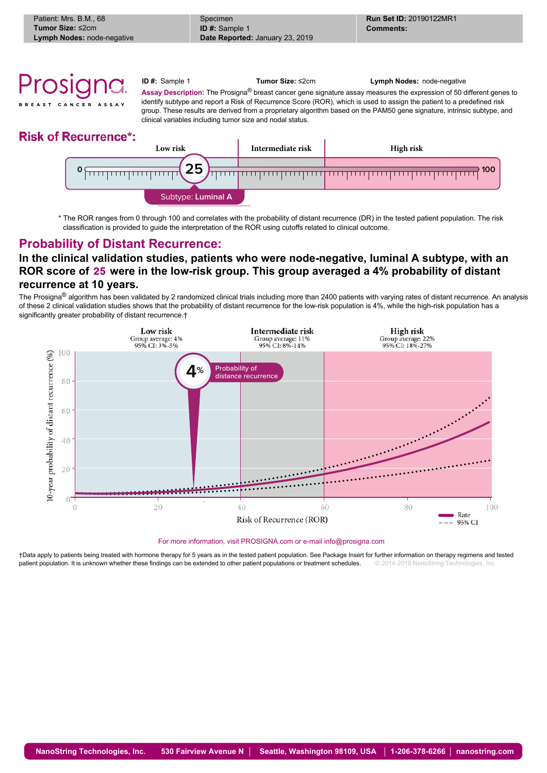

## **Risk of Recurrence\*:**



\* The ROR ranges from 0 through 100 and correlates with the probability of distant recurrence (DR) in the tested patient population. The risk classification is provided to guide the interpretation of the ROR using cutoffs related to clinical outcome.

## **Probability of Distant Recurrence:**

## **In the clinical validation studies, patients who were node-negative, luminal A subtype, with an ROR score of** 25 **were in the low-risk group. This group averaged a 4% probability of distant recurrence at 10 years.**

The Prosigna® algorithm has been validated by 2 randomized clinical trials including more than 2400 patients with varying rates of distant recurrence. An analysis of these 2 clinical validation studies shows that the probability of distant recurrence for the low-risk population is 4%, while the high-risk population has a significantly greater probability of distant recurrence.†



For more information, visit PROSIGNA.com or e-mail info@prosigna.com

†Data apply to patients being treated with hormone therapy for 5 years as in the tested patient population. See Package Insert for further information on therapy regimens and tested natient nonulation It is unknown whether patient population. It is unknown whether these findings can be extended to other patient populations or treatment schedules.